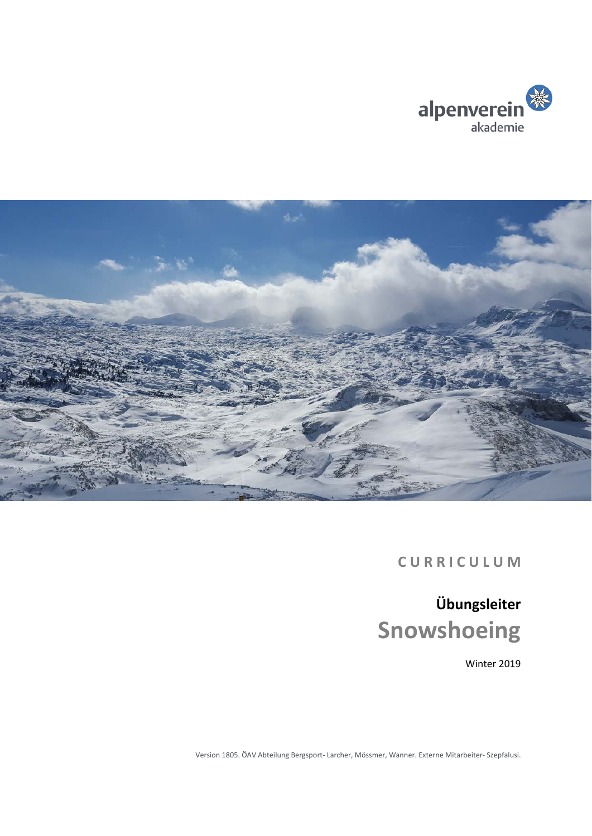



**C U R R I C U L U M**

**Übungsleiter Snowshoeing**

Winter 2019

Version 1805. ÖAV Abteilung Bergsport- Larcher, Mössmer, Wanner. Externe Mitarbeiter- Szepfalusi.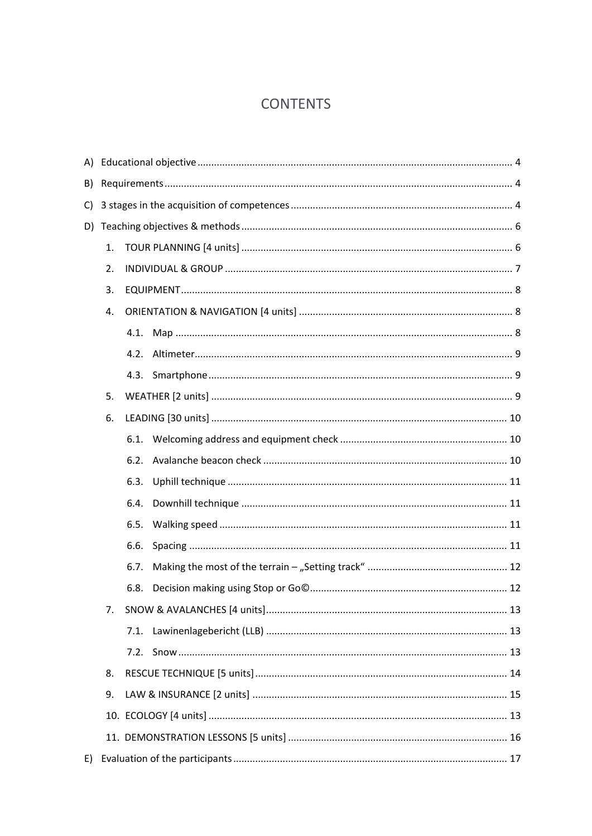# **CONTENTS**

| B) |    |      |  |  |  |
|----|----|------|--|--|--|
| C) |    |      |  |  |  |
|    |    |      |  |  |  |
|    | 1. |      |  |  |  |
|    | 2. |      |  |  |  |
|    | 3. |      |  |  |  |
|    | 4. |      |  |  |  |
|    |    | 4.1. |  |  |  |
|    |    | 4.2. |  |  |  |
|    |    |      |  |  |  |
|    | 5. |      |  |  |  |
|    | 6. |      |  |  |  |
|    |    |      |  |  |  |
|    |    | 6.2. |  |  |  |
|    |    | 6.3. |  |  |  |
|    |    | 6.4. |  |  |  |
|    |    | 6.5. |  |  |  |
|    |    | 6.6. |  |  |  |
|    |    | 6.7. |  |  |  |
|    |    | 6.8. |  |  |  |
|    | 7. |      |  |  |  |
|    |    | 7.1. |  |  |  |
|    |    | 7.2. |  |  |  |
|    | 8. |      |  |  |  |
|    | 9. |      |  |  |  |
|    |    |      |  |  |  |
|    |    |      |  |  |  |
| E) |    |      |  |  |  |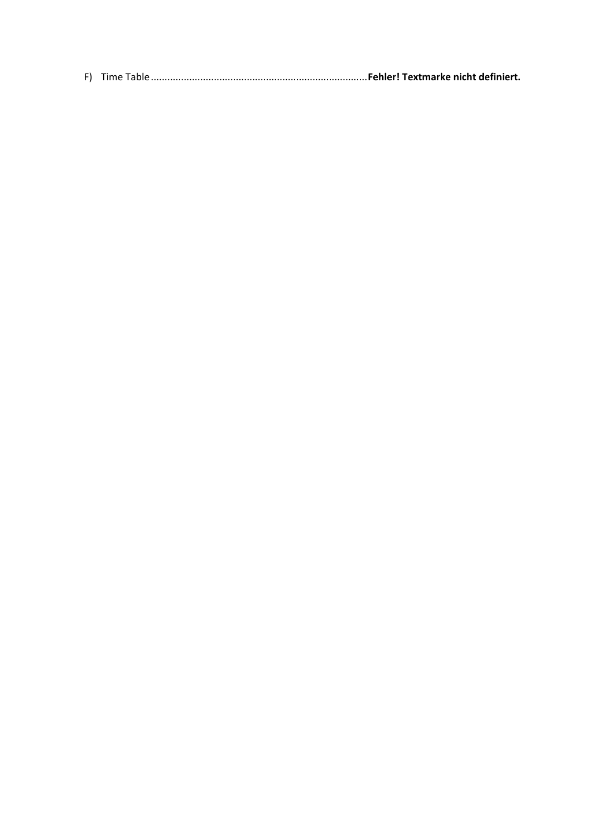|--|--|--|--|--|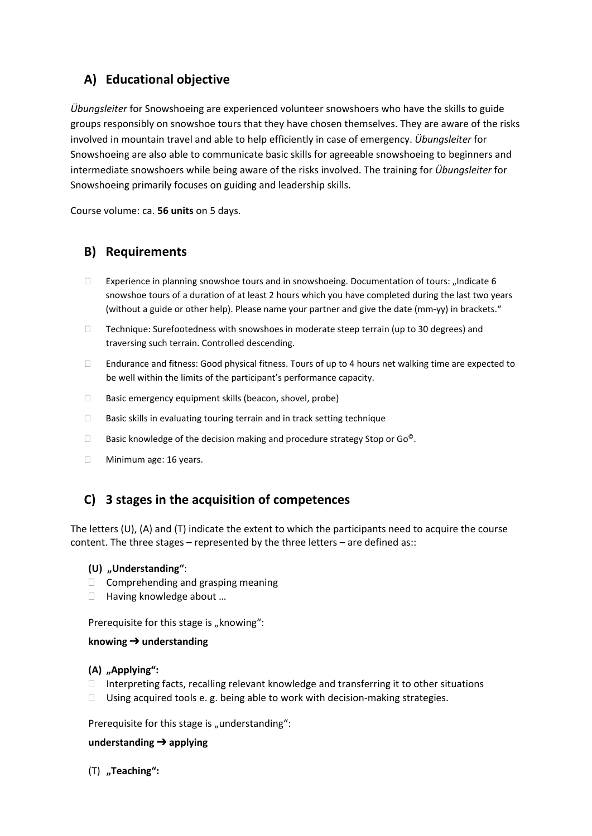## **A) Educational objective**

*Übungsleiter* for Snowshoeing are experienced volunteer snowshoers who have the skills to guide groups responsibly on snowshoe tours that they have chosen themselves. They are aware of the risks involved in mountain travel and able to help efficiently in case of emergency. *Übungsleiter* for Snowshoeing are also able to communicate basic skills for agreeable snowshoeing to beginners and intermediate snowshoers while being aware of the risks involved. The training for *Übungsleiter* for Snowshoeing primarily focuses on guiding and leadership skills.

Course volume: ca. **56 units** on 5 days.

## **B) Requirements**

- Experience in planning snowshoe tours and in snowshoeing. Documentation of tours: "Indicate 6 snowshoe tours of a duration of at least 2 hours which you have completed during the last two years (without a guide or other help). Please name your partner and give the date (mm-yy) in brackets."
- □ Technique: Surefootedness with snowshoes in moderate steep terrain (up to 30 degrees) and traversing such terrain. Controlled descending.
- $\Box$  Endurance and fitness: Good physical fitness. Tours of up to 4 hours net walking time are expected to be well within the limits of the participant's performance capacity.
- $\Box$  Basic emergency equipment skills (beacon, shovel, probe)
- $\Box$  Basic skills in evaluating touring terrain and in track setting technique
- Basic knowledge of the decision making and procedure strategy Stop or Go $^{\circ}$ .
- **Minimum age: 16 years.**

## **C) 3 stages in the acquisition of competences**

The letters (U), (A) and (T) indicate the extent to which the participants need to acquire the course content. The three stages – represented by the three letters – are defined as::

#### **(U) "Understanding"**:

- $\Box$  Comprehending and grasping meaning
- □ Having knowledge about ...

Prerequisite for this stage is "knowing":

#### **knowing** ➔ **understanding**

#### **(A) "Applying":**

- $\Box$  Interpreting facts, recalling relevant knowledge and transferring it to other situations
- □ Using acquired tools e. g. being able to work with decision-making strategies.

Prerequisite for this stage is "understanding":

#### **understanding** ➔ **applying**

(T) "Teaching":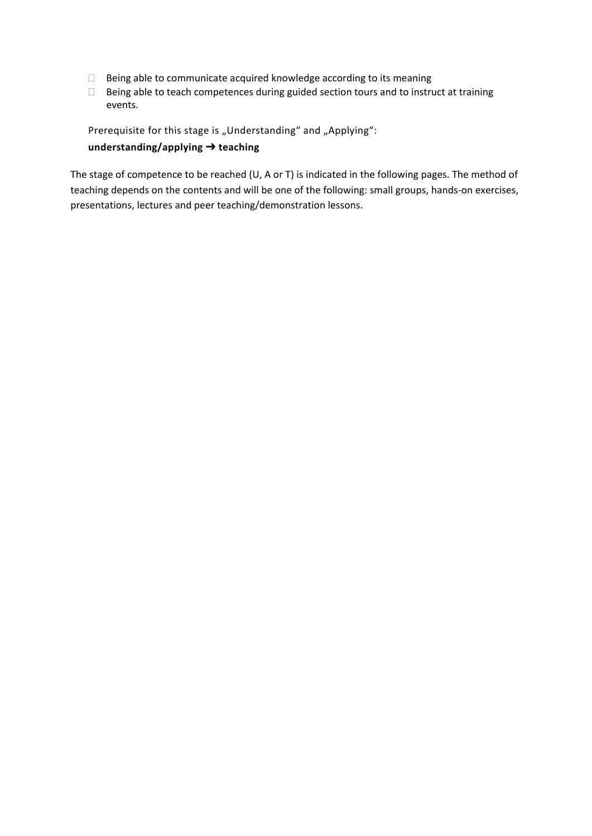- $\Box$  Being able to communicate acquired knowledge according to its meaning
- $\Box$  Being able to teach competences during guided section tours and to instruct at training events.

Prerequisite for this stage is "Understanding" and "Applying": **understanding/applying** ➔ **teaching**

The stage of competence to be reached (U, A or T) is indicated in the following pages. The method of teaching depends on the contents and will be one of the following: small groups, hands-on exercises, presentations, lectures and peer teaching/demonstration lessons.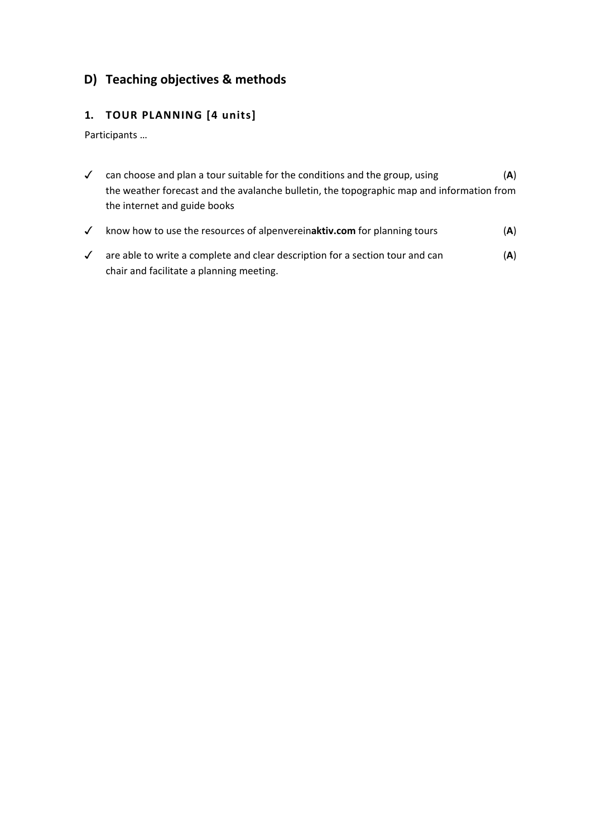## **D) Teaching objectives & methods**

## **1. TOUR PLANNING [4 units]**

Participants …

| can choose and plan a tour suitable for the conditions and the group, using               | (A) |
|-------------------------------------------------------------------------------------------|-----|
| the weather forecast and the avalanche bulletin, the topographic map and information from |     |
| the internet and guide books                                                              |     |

- ✓ know how to use the resources of alpenverein**aktiv.com** for planning tours (**A**)
- ✓ are able to write a complete and clear description for a section tour and can (**A**) chair and facilitate a planning meeting.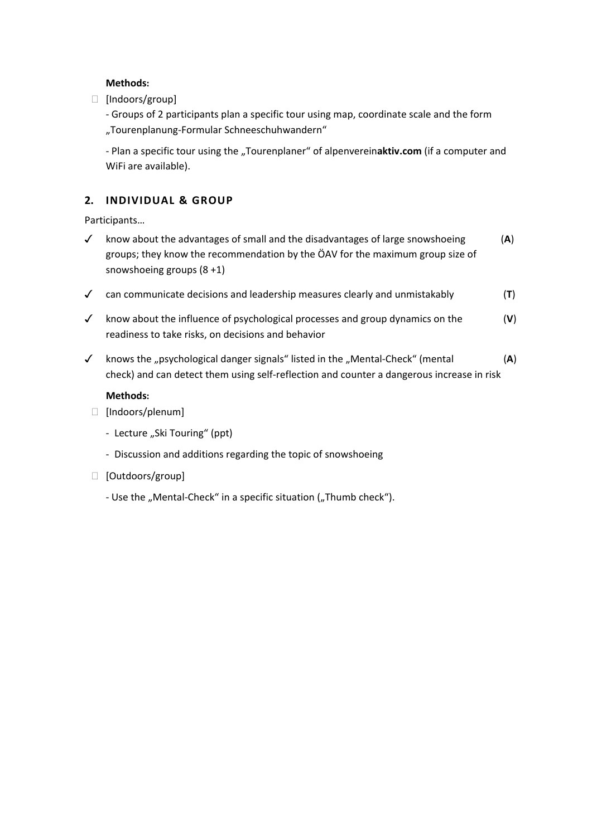#### **Methods:**

 $\Box$  [Indoors/group]

- Groups of 2 participants plan a specific tour using map, coordinate scale and the form "Tourenplanung-Formular Schneeschuhwandern"

- Plan a specific tour using the "Tourenplaner" of alpenvereinaktiv.com (if a computer and WiFi are available).

#### **2. INDIVIDUAL & GROUP**

Participants…

- ✓ know about the advantages of small and the disadvantages of large snowshoeing (**A**) groups; they know the recommendation by the ÖAV for the maximum group size of snowshoeing groups (8 +1)
- ✓ can communicate decisions and leadership measures clearly and unmistakably (**T**)
- ✓ know about the influence of psychological processes and group dynamics on the (**V**) readiness to take risks, on decisions and behavior
- ✓ knows the "psychological danger signals" listed in the "Mental-Check" (mental (**A**) check) and can detect them using self-reflection and counter a dangerous increase in risk

#### **Methods:**

- [Indoors/plenum]
	- Lecture "Ski Touring" (ppt)
	- Discussion and additions regarding the topic of snowshoeing
- [Outdoors/group]
	- Use the "Mental-Check" in a specific situation ("Thumb check").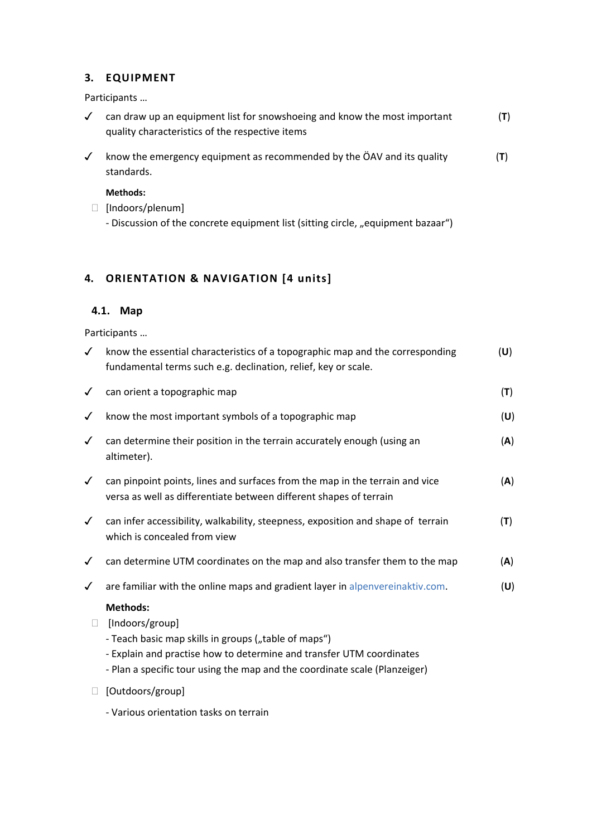#### **3. EQUIPMENT**

Participants …

| $\sqrt{2}$ | can draw up an equipment list for snowshoeing and know the most important<br>quality characteristics of the respective items |     |
|------------|------------------------------------------------------------------------------------------------------------------------------|-----|
|            | know the emergency equipment as recommended by the ÖAV and its quality<br>standards.                                         | (T) |

**Methods:**

- [Indoors/plenum]
	- Discussion of the concrete equipment list (sitting circle, "equipment bazaar")

## **4. ORIENTATION & NAVIGATION [4 units]**

## **4.1. Map**

Participants …

| $\checkmark$ | know the essential characteristics of a topographic map and the corresponding<br>fundamental terms such e.g. declination, relief, key or scale.                                                                                                  | (U) |
|--------------|--------------------------------------------------------------------------------------------------------------------------------------------------------------------------------------------------------------------------------------------------|-----|
| $\checkmark$ | can orient a topographic map                                                                                                                                                                                                                     | (T) |
| $\checkmark$ | know the most important symbols of a topographic map                                                                                                                                                                                             | (U) |
| $\checkmark$ | can determine their position in the terrain accurately enough (using an<br>altimeter).                                                                                                                                                           | (A) |
| $\checkmark$ | can pinpoint points, lines and surfaces from the map in the terrain and vice<br>versa as well as differentiate between different shapes of terrain                                                                                               | (A) |
| $\checkmark$ | can infer accessibility, walkability, steepness, exposition and shape of terrain<br>which is concealed from view                                                                                                                                 | (T) |
| $\checkmark$ | can determine UTM coordinates on the map and also transfer them to the map                                                                                                                                                                       | (A) |
| $\checkmark$ | are familiar with the online maps and gradient layer in alpenvereinaktiv.com.                                                                                                                                                                    | (U) |
| П            | <b>Methods:</b><br>[Indoors/group]<br>- Teach basic map skills in groups ("table of maps")<br>- Explain and practise how to determine and transfer UTM coordinates<br>- Plan a specific tour using the map and the coordinate scale (Planzeiger) |     |

- [Outdoors/group]
	- Various orientation tasks on terrain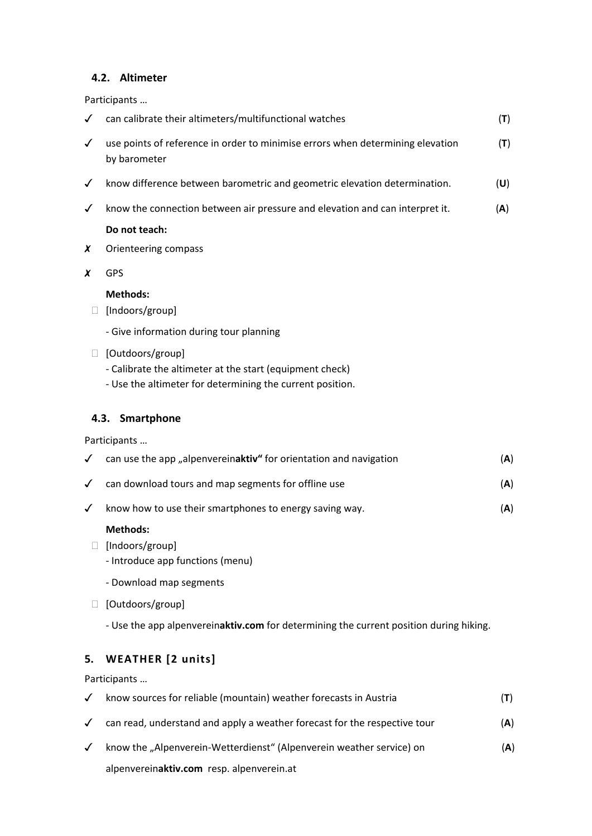#### **4.2. Altimeter**

Participants …

|              | Participants                                                                                                                              |     |
|--------------|-------------------------------------------------------------------------------------------------------------------------------------------|-----|
|              | can calibrate their altimeters/multifunctional watches                                                                                    | (T) |
| $\checkmark$ | use points of reference in order to minimise errors when determining elevation<br>by barometer                                            | (T) |
| $\checkmark$ | know difference between barometric and geometric elevation determination.                                                                 | (U) |
| ✓            | know the connection between air pressure and elevation and can interpret it.                                                              | (A) |
|              | Do not teach:                                                                                                                             |     |
| X            | Orienteering compass                                                                                                                      |     |
| X            | GPS                                                                                                                                       |     |
|              | <b>Methods:</b>                                                                                                                           |     |
| П            | [Indoors/group]                                                                                                                           |     |
|              | - Give information during tour planning                                                                                                   |     |
| $\Box$       | [Outdoors/group]<br>- Calibrate the altimeter at the start (equipment check)<br>- Use the altimeter for determining the current position. |     |
|              | 4.3. Smartphone                                                                                                                           |     |
|              | Participants                                                                                                                              |     |
|              | can use the app "alpenvereinaktiv" for orientation and navigation                                                                         | (A) |
| $\checkmark$ | can download tours and map segments for offline use                                                                                       | (A) |
| $\checkmark$ | know how to use their smartphones to energy saving way.                                                                                   | (A) |
| $\Box$       | <b>Methods:</b><br>[Indoors/group]<br>- Introduce app functions (menu)<br>- Download map segments                                         |     |
|              |                                                                                                                                           |     |

[Outdoors/group]

- Use the app alpenverein**aktiv.com** for determining the current position during hiking.

## **5. WEATHER [2 units]**

Participants …

| $\checkmark$ know sources for reliable (mountain) weather forecasts in Austria         | (T) |
|----------------------------------------------------------------------------------------|-----|
| $\checkmark$ can read, understand and apply a weather forecast for the respective tour | (A) |
| $\checkmark$ know the "Alpenverein-Wetterdienst" (Alpenverein weather service) on      | (A) |
| alpenvereinaktiv.com resp. alpenverein.at                                              |     |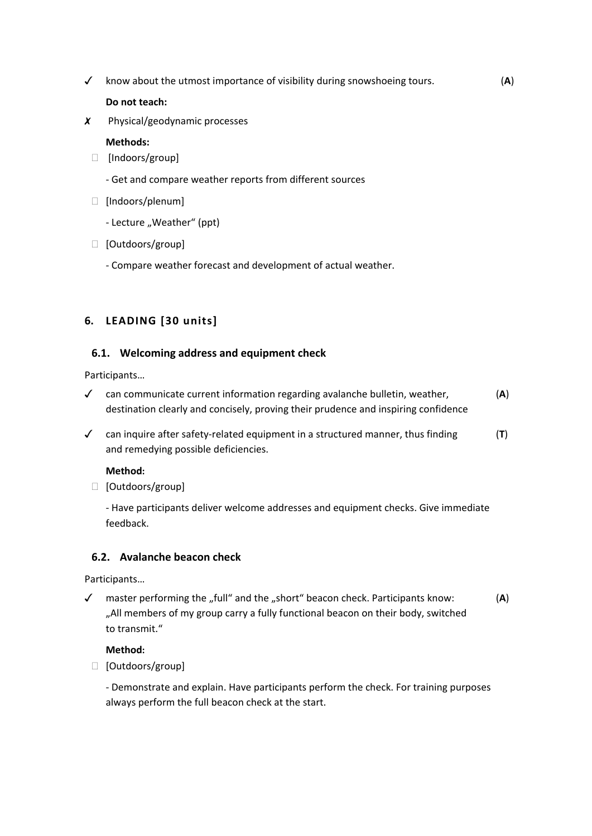✓ know about the utmost importance of visibility during snowshoeing tours. (**A**)

#### **Do not teach:**

✗ Physical/geodynamic processes

#### **Methods:**

- [Indoors/group]
	- Get and compare weather reports from different sources
- [Indoors/plenum]
	- Lecture "Weather" (ppt)
- [Outdoors/group]
	- Compare weather forecast and development of actual weather.

## **6. LEADING [30 units]**

#### **6.1. Welcoming address and equipment check**

Participants…

- ✓ can communicate current information regarding avalanche bulletin, weather, (**A**) destination clearly and concisely, proving their prudence and inspiring confidence
- ✓ can inquire after safety-related equipment in a structured manner, thus finding (**T**) and remedying possible deficiencies.

#### **Method:**

[Outdoors/group]

- Have participants deliver welcome addresses and equipment checks. Give immediate feedback.

#### **6.2. Avalanche beacon check**

Participants…

✓ master performing the "full" and the "short" beacon check. Participants know: (**A**) "All members of my group carry a fully functional beacon on their body, switched to transmit."

#### **Method:**

[Outdoors/group]

- Demonstrate and explain. Have participants perform the check. For training purposes always perform the full beacon check at the start.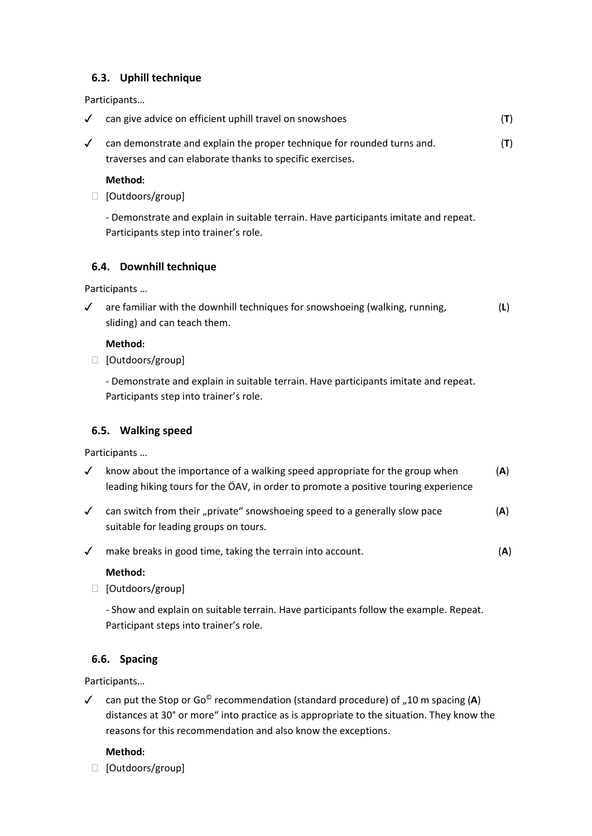### **6.3. Uphill technique**

Participants…

|              | Participants                                                                                                                                                       |     |
|--------------|--------------------------------------------------------------------------------------------------------------------------------------------------------------------|-----|
| ✓            | can give advice on efficient uphill travel on snowshoes                                                                                                            | (T) |
| $\checkmark$ | can demonstrate and explain the proper technique for rounded turns and.<br>traverses and can elaborate thanks to specific exercises.                               | (T) |
|              | Method:<br>[Outdoors/group]                                                                                                                                        |     |
|              | - Demonstrate and explain in suitable terrain. Have participants imitate and repeat.<br>Participants step into trainer's role.                                     |     |
|              | 6.4. Downhill technique                                                                                                                                            |     |
|              | Participants                                                                                                                                                       |     |
| $\checkmark$ | are familiar with the downhill techniques for snowshoeing (walking, running,<br>sliding) and can teach them.                                                       | (L) |
|              | Method:                                                                                                                                                            |     |
|              | [Outdoors/group]                                                                                                                                                   |     |
|              | - Demonstrate and explain in suitable terrain. Have participants imitate and repeat.<br>Participants step into trainer's role.                                     |     |
|              | 6.5. Walking speed                                                                                                                                                 |     |
|              | Participants                                                                                                                                                       |     |
| $\checkmark$ | know about the importance of a walking speed appropriate for the group when<br>leading hiking tours for the ÖAV, in order to promote a positive touring experience | (A) |
| $\checkmark$ | can switch from their "private" snowshoeing speed to a generally slow pace                                                                                         | (A) |

✓ make breaks in good time, taking the terrain into account. (**A**)

#### **Method:**

[Outdoors/group]

suitable for leading groups on tours.

- Show and explain on suitable terrain. Have participants follow the example. Repeat. Participant steps into trainer's role.

### **6.6. Spacing**

Participants…

✓ can put the Stop or Go© recommendation (standard procedure) of "10 m spacing (**A**) distances at 30° or more" into practice as is appropriate to the situation. They know the reasons for this recommendation and also know the exceptions.

#### **Method:**

[Outdoors/group]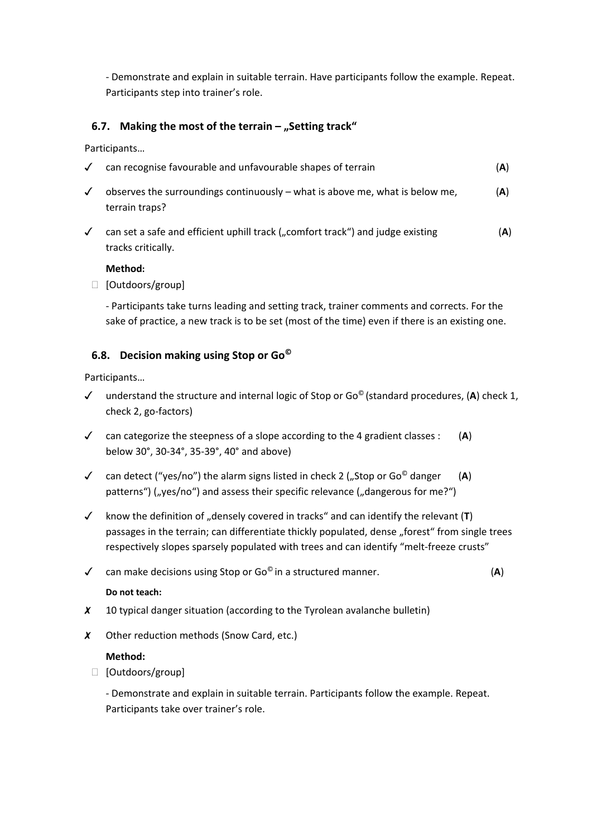- Demonstrate and explain in suitable terrain. Have participants follow the example. Repeat. Participants step into trainer's role.

### **6.7. Making the most of the terrain – "Setting track"**

Participants…

| can recognise favourable and unfavourable shapes of terrain                                      | (A) |
|--------------------------------------------------------------------------------------------------|-----|
| observes the surroundings continuously $-$ what is above me, what is below me,<br>terrain traps? | (A) |
| can set a safe and efficient uphill track ("comfort track") and judge existing                   | (A) |

tracks critically.

#### **Method:**

[Outdoors/group]

- Participants take turns leading and setting track, trainer comments and corrects. For the sake of practice, a new track is to be set (most of the time) even if there is an existing one.

#### **6.8. Decision making using Stop or Go©**

Participants…

- ✓ understand the structure and internal logic of Stop or Go© (standard procedures, (**A**) check 1, check 2, go-factors)
- ✓ can categorize the steepness of a slope according to the 4 gradient classes : (**A**) below 30°, 30-34°, 35-39°, 40° and above)
- ✓ can detect ("yes/no") the alarm signs listed in check 2 ("Stop or Go© danger (**A**) patterns") ("yes/no") and assess their specific relevance ("dangerous for me?")
- $\checkmark$  know the definition of "densely covered in tracks" and can identify the relevant (**T**) passages in the terrain; can differentiate thickly populated, dense "forest" from single trees respectively slopes sparsely populated with trees and can identify "melt-freeze crusts"
- $\checkmark$  can make decisions using Stop or Go<sup> $\circ$ </sup> in a structured manner. (**A**)

#### **Do not teach:**

- $X$  10 typical danger situation (according to the Tyrolean avalanche bulletin)
- ✗ Other reduction methods (Snow Card, etc.)

#### **Method:**

[Outdoors/group]

- Demonstrate and explain in suitable terrain. Participants follow the example. Repeat. Participants take over trainer's role.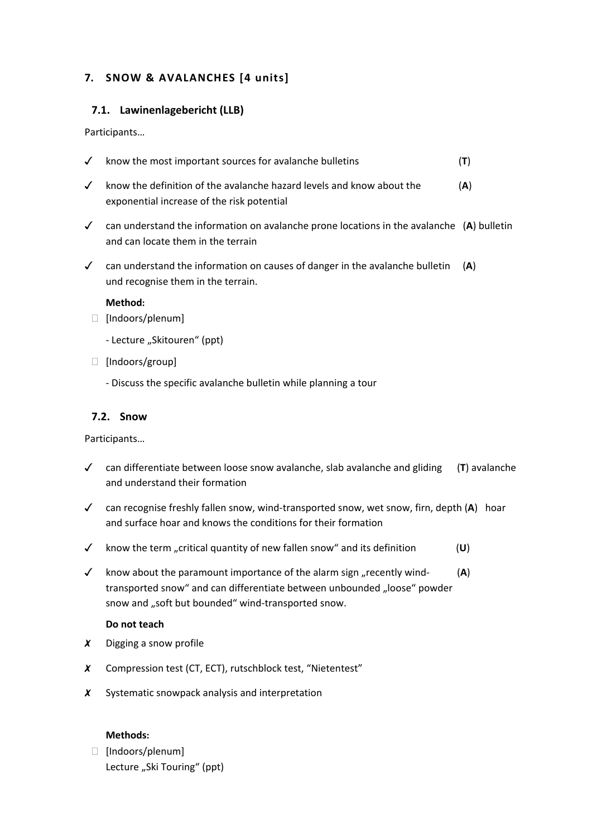## **7. SNOW & AVALANCHES [4 units]**

#### **7.1. Lawinenlagebericht (LLB)**

Participants…

| $\checkmark$ know the most important sources for avalanche bulletins               |     |
|------------------------------------------------------------------------------------|-----|
| $\checkmark$ know the definition of the avalanche hazard levels and know about the | (A) |
| exponential increase of the risk potential                                         |     |

- ✓ can understand the information on avalanche prone locations in the avalanche (**A**) bulletin and can locate them in the terrain
- ✓ can understand the information on causes of danger in the avalanche bulletin (**A**) und recognise them in the terrain.

#### **Method:**

- [Indoors/plenum]
	- Lecture "Skitouren" (ppt)
- $\Box$  [Indoors/group]
	- Discuss the specific avalanche bulletin while planning a tour

#### **7.2. Snow**

Participants…

- ✓ can differentiate between loose snow avalanche, slab avalanche and gliding (**T**) avalanche and understand their formation
- ✓ can recognise freshly fallen snow, wind-transported snow, wet snow, firn, depth (**A**) hoar and surface hoar and knows the conditions for their formation
- $\checkmark$  know the term "critical quantity of new fallen snow" and its definition  $(U)$
- $\checkmark$  know about the paramount importance of the alarm sign "recently wind- $\checkmark$ A) transported snow" and can differentiate between unbounded "loose" powder snow and "soft but bounded" wind-transported snow.

#### **Do not teach**

- ✗ Digging a snow profile
- ✗ Compression test (CT, ECT), rutschblock test, "Nietentest"
- ✗ Systematic snowpack analysis and interpretation

#### **Methods:**

 [Indoors/plenum] Lecture "Ski Touring" (ppt)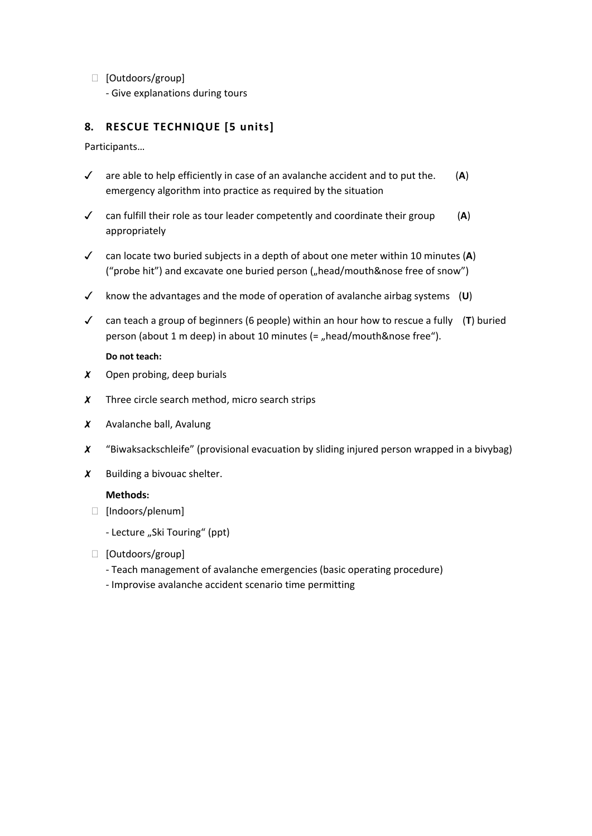$\Box$  [Outdoors/group]

- Give explanations during tours

### **8. RESCUE TECHNIQUE [5 units]**

Participants…

- $\checkmark$  are able to help efficiently in case of an avalanche accident and to put the.  $(A)$ emergency algorithm into practice as required by the situation
- ✓ can fulfill their role as tour leader competently and coordinate their group (**A**) appropriately
- ✓ can locate two buried subjects in a depth of about one meter within 10 minutes (**A**) ("probe hit") and excavate one buried person ("head/mouth&nose free of snow")
- ✓ know the advantages and the mode of operation of avalanche airbag systems (**U**)
- ✓ can teach a group of beginners (6 people) within an hour how to rescue a fully (**T**) buried person (about 1 m deep) in about 10 minutes (= "head/mouth&nose free").

**Do not teach:**

- ✗ Open probing, deep burials
- $x$  Three circle search method, micro search strips
- ✗ Avalanche ball, Avalung
- ✗ "Biwaksackschleife" (provisional evacuation by sliding injured person wrapped in a bivybag)
- $x$  Building a bivouac shelter.

#### **Methods:**

- [Indoors/plenum]
	- Lecture "Ski Touring" (ppt)
- [Outdoors/group]
	- Teach management of avalanche emergencies (basic operating procedure)
	- Improvise avalanche accident scenario time permitting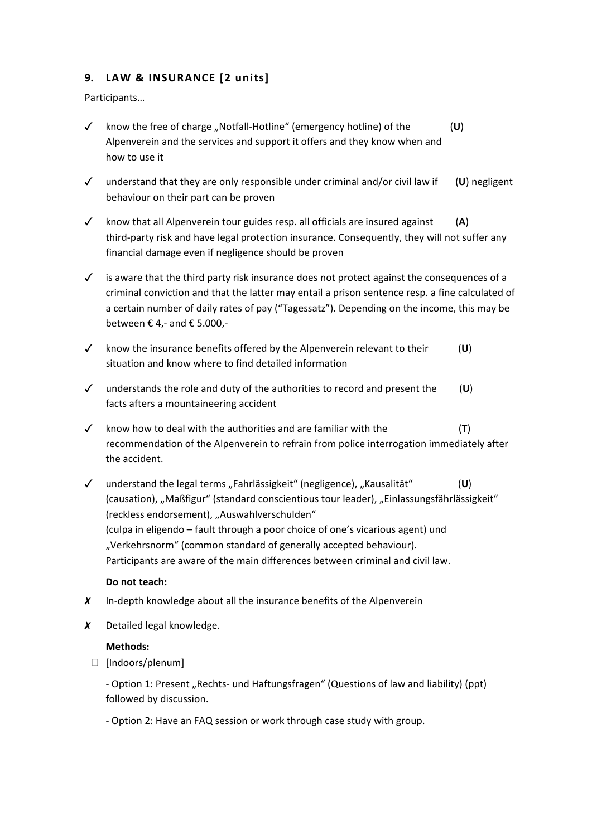## **9. LAW & INSURANCE [2 units]**

Participants…

- ✓ know the free of charge "Notfall-Hotline" (emergency hotline) of the (**U**) Alpenverein and the services and support it offers and they know when and how to use it
- ✓ understand that they are only responsible under criminal and/or civil law if (**U**) negligent behaviour on their part can be proven
- ✓ know that all Alpenverein tour guides resp. all officials are insured against (**A**) third-party risk and have legal protection insurance. Consequently, they will not suffer any financial damage even if negligence should be proven
- ✓ is aware that the third party risk insurance does not protect against the consequences of a criminal conviction and that the latter may entail a prison sentence resp. a fine calculated of a certain number of daily rates of pay ("Tagessatz"). Depending on the income, this may be between € 4,- and € 5.000,-
- ✓ know the insurance benefits offered by the Alpenverein relevant to their (**U**) situation and know where to find detailed information
- ✓ understands the role and duty of the authorities to record and present the (**U**) facts afters a mountaineering accident
- ✓ know how to deal with the authorities and are familiar with the (**T**) recommendation of the Alpenverein to refrain from police interrogation immediately after the accident.
- ✓ understand the legal terms "Fahrlässigkeit" (negligence), "Kausalität" (**U**) (causation), "Maßfigur" (standard conscientious tour leader), "Einlassungsfährlässigkeit" (reckless endorsement), "Auswahlverschulden" (culpa in eligendo – fault through a poor choice of one's vicarious agent) und "Verkehrsnorm" (common standard of generally accepted behaviour). Participants are aware of the main differences between criminal and civil law.

#### **Do not teach:**

- ✗ In-depth knowledge about all the insurance benefits of the Alpenverein
- ✗ Detailed legal knowledge.

#### **Methods:**

[Indoors/plenum]

- Option 1: Present "Rechts- und Haftungsfragen" (Questions of law and liability) (ppt) followed by discussion.

- Option 2: Have an FAQ session or work through case study with group.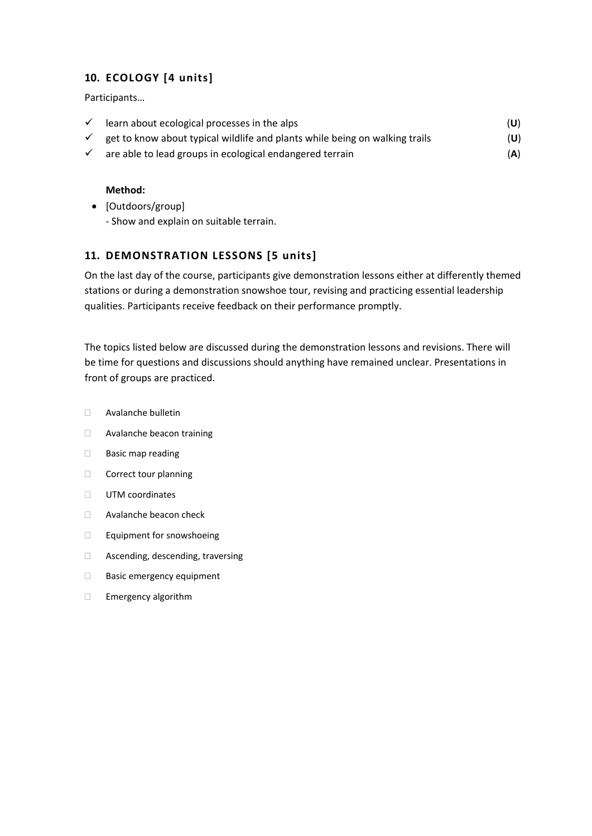## **10. ECOLOGY [4 units]**

Participants…

| learn about ecological processes in the alps                                | (U) |
|-----------------------------------------------------------------------------|-----|
| get to know about typical wildlife and plants while being on walking trails | (U) |

 $\checkmark$  are able to lead groups in ecological endangered terrain  $(A)$ 

#### **Method:**

• [Outdoors/group] - Show and explain on suitable terrain.

### **11. DEMONSTRATION LESSONS [5 units]**

On the last day of the course, participants give demonstration lessons either at differently themed stations or during a demonstration snowshoe tour, revising and practicing essential leadership qualities. Participants receive feedback on their performance promptly.

The topics listed below are discussed during the demonstration lessons and revisions. There will be time for questions and discussions should anything have remained unclear. Presentations in front of groups are practiced.

- Avalanche bulletin
- Avalanche beacon training
- □ Basic map reading
- Correct tour planning
- UTM coordinates
- Avalanche beacon check
- □ Equipment for snowshoeing
- Ascending, descending, traversing
- □ Basic emergency equipment
- **Emergency algorithm**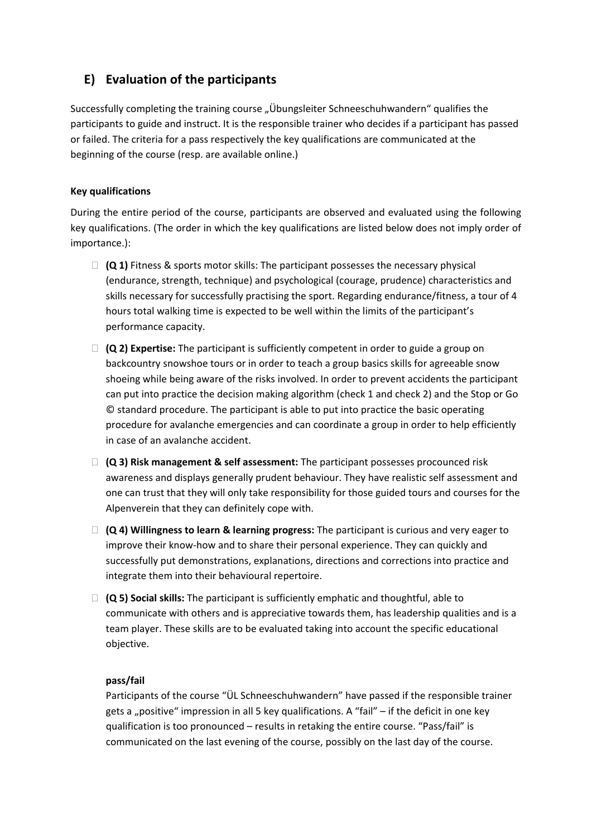## **E) Evaluation of the participants**

Successfully completing the training course "Übungsleiter Schneeschuhwandern" qualifies the participants to guide and instruct. It is the responsible trainer who decides if a participant has passed or failed. The criteria for a pass respectively the key qualifications are communicated at the beginning of the course (resp. are available online.)

#### **Key qualifications**

During the entire period of the course, participants are observed and evaluated using the following key qualifications. (The order in which the key qualifications are listed below does not imply order of importance.):

- **(Q 1)** Fitness & sports motor skills: The participant possesses the necessary physical (endurance, strength, technique) and psychological (courage, prudence) characteristics and skills necessary for successfully practising the sport. Regarding endurance/fitness, a tour of 4 hours total walking time is expected to be well within the limits of the participant's performance capacity.
- **(Q 2) Expertise:** The participant is sufficiently competent in order to guide a group on backcountry snowshoe tours or in order to teach a group basics skills for agreeable snow shoeing while being aware of the risks involved. In order to prevent accidents the participant can put into practice the decision making algorithm (check 1 and check 2) and the Stop or Go © standard procedure. The participant is able to put into practice the basic operating procedure for avalanche emergencies and can coordinate a group in order to help efficiently in case of an avalanche accident.
- **(Q 3) Risk management & self assessment:** The participant possesses procounced risk awareness and displays generally prudent behaviour. They have realistic self assessment and one can trust that they will only take responsibility for those guided tours and courses for the Alpenverein that they can definitely cope with.
- **(Q 4) Willingness to learn & learning progress:** The participant is curious and very eager to improve their know-how and to share their personal experience. They can quickly and successfully put demonstrations, explanations, directions and corrections into practice and integrate them into their behavioural repertoire.
- **(Q 5) Social skills:** The participant is sufficiently emphatic and thoughtful, able to communicate with others and is appreciative towards them, has leadership qualities and is a team player. These skills are to be evaluated taking into account the specific educational objective.

#### **pass/fail**

Participants of the course "ÜL Schneeschuhwandern" have passed if the responsible trainer gets a "positive" impression in all 5 key qualifications. A "fail"  $-$  if the deficit in one key qualification is too pronounced – results in retaking the entire course. "Pass/fail" is communicated on the last evening of the course, possibly on the last day of the course.